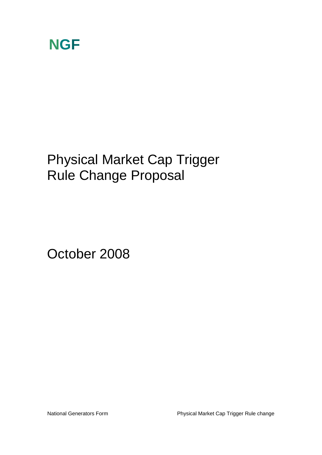

## Physical Market Cap Trigger Rule Change Proposal

October 2008

National Generators Form **Physical Market Cap Trigger Rule change**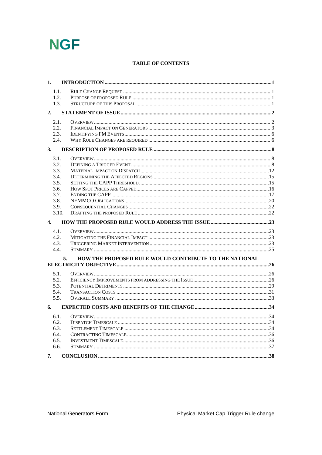

### **TABLE OF CONTENTS**

| 1.               |                                                              |  |
|------------------|--------------------------------------------------------------|--|
| 1.1.             |                                                              |  |
| 1.2.             |                                                              |  |
| 1.3.             |                                                              |  |
| 2.               |                                                              |  |
|                  |                                                              |  |
| 2.1.             |                                                              |  |
| 2.2.             |                                                              |  |
| 2.3.             |                                                              |  |
| 2.4.             |                                                              |  |
| 3.               |                                                              |  |
| 3.1.             |                                                              |  |
| 3.2.             |                                                              |  |
| 3.3.             |                                                              |  |
| 3.4.             |                                                              |  |
| 3.5.             |                                                              |  |
| 3.6.             |                                                              |  |
| 3.7.             |                                                              |  |
| 3.8.             |                                                              |  |
| 3.9.             |                                                              |  |
|                  | 3.10.                                                        |  |
| $\overline{4}$ . |                                                              |  |
| 4.1.             |                                                              |  |
| 4.2.             |                                                              |  |
| 4.3.             |                                                              |  |
| 4.4.             |                                                              |  |
|                  | HOW THE PROPOSED RULE WOULD CONTRIBUTE TO THE NATIONAL<br>5. |  |
|                  |                                                              |  |
| 5.1.             |                                                              |  |
| 5.2.             |                                                              |  |
| 5.3.             |                                                              |  |
| 5.4.             |                                                              |  |
| 5.5.             |                                                              |  |
| 6.               |                                                              |  |
| 6.1.             |                                                              |  |
| 6.2.             |                                                              |  |
| 6.3.             |                                                              |  |
| 6.4.             |                                                              |  |
| 6.5.             |                                                              |  |
| 6.6.             |                                                              |  |
|                  |                                                              |  |
| 7.               |                                                              |  |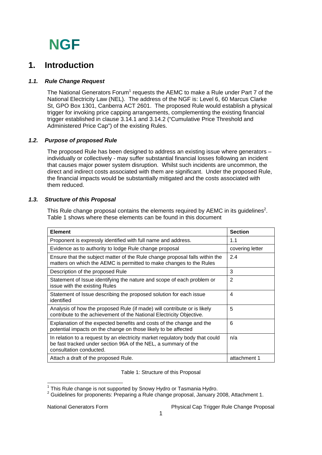### **1. Introduction**

### *1.1. Rule Change Request*

The National Generators Forum<sup>1</sup> requests the AEMC to make a Rule under Part 7 of the National Electricity Law (NEL). The address of the NGF is: Level 6, 60 Marcus Clarke St, GPO Box 1301, Canberra ACT 2601. The proposed Rule would establish a physical trigger for invoking price capping arrangements, complementing the existing financial trigger established in clause 3.14.1 and 3.14.2 ("Cumulative Price Threshold and Administered Price Cap") of the existing Rules.

### *1.2. Purpose of proposed Rule*

The proposed Rule has been designed to address an existing issue where generators – individually or collectively - may suffer substantial financial losses following an incident that causes major power system disruption. Whilst such incidents are uncommon, the direct and indirect costs associated with them are significant. Under the proposed Rule, the financial impacts would be substantially mitigated and the costs associated with them reduced.

### *1.3. Structure of this Proposal*

This Rule change proposal contains the elements required by AEMC in its guidelines<sup>2</sup>. Table 1 shows where these elements can be found in this document

| <b>Element</b>                                                                                                                                                            | <b>Section</b>  |
|---------------------------------------------------------------------------------------------------------------------------------------------------------------------------|-----------------|
| Proponent is expressly identified with full name and address.                                                                                                             | 1.1             |
| Evidence as to authority to lodge Rule change proposal                                                                                                                    | covering letter |
| Ensure that the subject matter of the Rule change proposal falls within the<br>matters on which the AEMC is permitted to make changes to the Rules                        | 2.4             |
| Description of the proposed Rule                                                                                                                                          | 3               |
| Statement of Issue identifying the nature and scope of each problem or<br>issue with the existing Rules                                                                   | 2               |
| Statement of Issue describing the proposed solution for each issue<br>identified                                                                                          | 4               |
| Analysis of how the proposed Rule (if made) will contribute or is likely<br>contribute to the achievement of the National Electricity Objective.                          | 5               |
| Explanation of the expected benefits and costs of the change and the<br>potential impacts on the change on those likely to be affected                                    | 6               |
| In relation to a request by an electricity market regulatory body that could<br>be fast tracked under section 96A of the NEL, a summary of the<br>consultation conducted. | n/a             |
| Attach a draft of the proposed Rule.                                                                                                                                      | attachment 1    |

Table 1: Structure of this Proposal

<sup>&</sup>lt;sup>1</sup> This Rule change is not supported by Snowy Hydro or Tasmania Hydro.

 $2$  Guidelines for proponents: Preparing a Rule change proposal, January 2008, Attachment 1.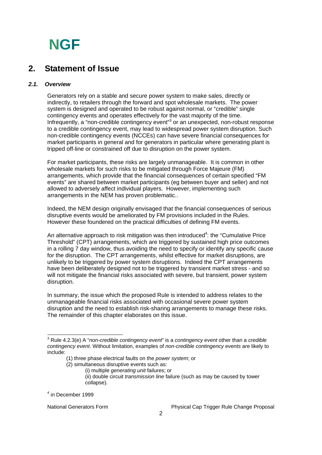### **2. Statement of Issue**

### *2.1. Overview*

Generators rely on a stable and secure power system to make sales, directly or indirectly, to retailers through the forward and spot wholesale markets. The power system is designed and operated to be robust against normal, or "credible" single contingency events and operates effectively for the vast majority of the time. Infrequently, a "non-credible contingency event"<sup>3</sup> or an unexpected, non-robust response to a credible contingency event, may lead to widespread power system disruption. Such non-credible contingency events (NCCEs) can have severe financial consequences for market participants in general and for generators in particular where generating plant is tripped off-line or constrained off due to disruption on the power system.

For market participants, these risks are largely unmanageable. It is common in other wholesale markets for such risks to be mitigated through Force Majeure (FM) arrangements, which provide that the financial consequences of certain specified "FM events" are shared between market participants (eg between buyer and seller) and not allowed to adversely affect individual players. However, implementing such arrangements in the NEM has proven problematic..

Indeed, the NEM design originally envisaged that the financial consequences of serious disruptive events would be ameliorated by FM provisions included in the Rules. However these foundered on the practical difficulties of defining FM events.

An alternative approach to risk mitigation was then introduced<sup>4</sup>: the "Cumulative Price Threshold" (CPT) arrangements, which are triggered by sustained high price outcomes in a rolling 7 day window, thus avoiding the need to specify or identify any specific cause for the disruption. The CPT arrangements, whilst effective for market disruptions, are unlikely to be triggered by power system disruptions. Indeed the CPT arrangements have been deliberately designed not to be triggered by transient market stress - and so will not mitigate the financial risks associated with severe, but transient, power system disruption.

In summary, the issue which the proposed Rule is intended to address relates to the unmanageable financial risks associated with occasional severe power system disruption and the need to establish risk-sharing arrangements to manage these risks. The remainder of this chapter elaborates on this issue.

- (1) three phase electrical faults on the *power system*; or
- (2) simultaneous disruptive events such as:
	- (i) multiple *generating unit* failures; or (ii) double circuit *transmission line* failure (such as may be caused by tower collapse).

 3 Rule 4.2.3(e) A "*non-credible contingency event*" is a *contingency event* other than a *credible contingency event*. Without limitation, examples of *non-credible contingency events* are likely to include:

<sup>4</sup> in December 1999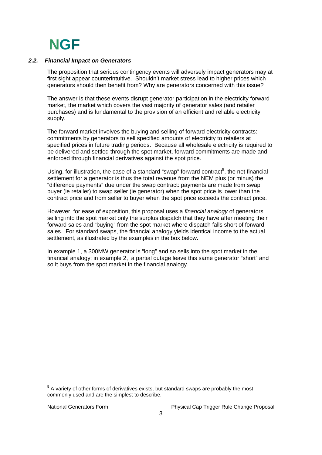#### *2.2. Financial Impact on Generators*

The proposition that serious contingency events will adversely impact generators may at first sight appear counterintuitive. Shouldn't market stress lead to higher prices which generators should then benefit from? Why are generators concerned with this issue?

The answer is that these events disrupt generator participation in the electricity forward market, the market which covers the vast majority of generator sales (and retailer purchases) and is fundamental to the provision of an efficient and reliable electricity supply.

The forward market involves the buying and selling of forward electricity contracts: commitments by generators to sell specified amounts of electricity to retailers at specified prices in future trading periods. Because all wholesale electricity is required to be delivered and settled through the spot market, forward commitments are made and enforced through financial derivatives against the spot price.

Using, for illustration, the case of a standard "swap" forward contract<sup>5</sup>, the net financial settlement for a generator is thus the total revenue from the NEM plus (or minus) the "difference payments" due under the swap contract: payments are made from swap buyer (ie retailer) to swap seller (ie generator) when the spot price is lower than the contract price and from seller to buyer when the spot price exceeds the contract price.

However, for ease of exposition, this proposal uses a *financial analogy* of generators selling into the spot market only the surplus dispatch that they have after meeting their forward sales and "buying" from the spot market where dispatch falls short of forward sales. For standard swaps, the financial analogy yields identical income to the actual settlement, as illustrated by the examples in the box below.

In example 1, a 300MW generator is "long" and so sells into the spot market in the financial analogy; in example 2, a partial outage leave this same generator "short" and so it buys from the spot market in the financial analogy.

<sup>&</sup>lt;u>Fand the metal conditions</u><br><sup>5</sup> A variety of other forms of derivatives exists, but standard swaps are probably the most commonly used and are the simplest to describe.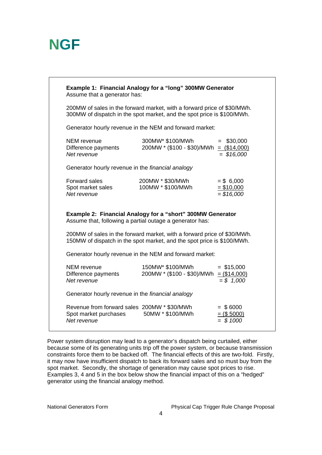| <b>Example 1: Financial Analogy for a "long" 300MW Generator</b><br>Assume that a generator has:                                                  |                                                                |                                            |  |  |
|---------------------------------------------------------------------------------------------------------------------------------------------------|----------------------------------------------------------------|--------------------------------------------|--|--|
| 200MW of sales in the forward market, with a forward price of \$30/MWh.<br>300MW of dispatch in the spot market, and the spot price is \$100/MWh. |                                                                |                                            |  |  |
| Generator hourly revenue in the NEM and forward market:                                                                                           |                                                                |                                            |  |  |
| <b>NEM</b> revenue<br>Difference payments<br>Net revenue                                                                                          | 300MW* \$100/MWh<br>$200MW * ($100 - $30)/MWh = ($14,000)$     | $=$ \$30,000<br>$=$ \$16,000               |  |  |
| Generator hourly revenue in the <i>financial analogy</i>                                                                                          |                                                                |                                            |  |  |
| <b>Forward sales</b><br>Spot market sales<br>Net revenue                                                                                          | 200MW * \$30/MWh<br>100MW * \$100/MWh                          | $= $6,000$<br>$= $10,000$<br>\$16,000      |  |  |
| <b>Example 2: Financial Analogy for a "short" 300MW Generator</b><br>Assume that, following a partial outage a generator has:                     |                                                                |                                            |  |  |
| 200MW of sales in the forward market, with a forward price of \$30/MWh.<br>150MW of dispatch in the spot market, and the spot price is \$100/MWh. |                                                                |                                            |  |  |
| Generator hourly revenue in the NEM and forward market:                                                                                           |                                                                |                                            |  |  |
| <b>NEM</b> revenue<br>Difference payments<br>Net revenue                                                                                          | 150MW* \$100/MWh<br>$200$ MW * (\$100 - \$30)/MWh = (\$14,000) | $=$ \$15,000<br>$= $ 1,000$                |  |  |
| Generator hourly revenue in the financial analogy                                                                                                 |                                                                |                                            |  |  |
| Revenue from forward sales 200MW * \$30/MWh<br>Spot market purchases<br>Net revenue                                                               | 50MW * \$100/MWh                                               | $=$ \$6000<br>$=$ (\$ 5000)<br>$=$ \$ 1000 |  |  |

Power system disruption may lead to a generator's dispatch being curtailed, either because some of its generating units trip off the power system, or because transmission constraints force them to be backed off. The financial effects of this are two-fold. Firstly, it may now have insufficient dispatch to back its forward sales and so must buy from the spot market. Secondly, the shortage of generation may cause spot prices to rise. Examples 3, 4 and 5 in the box below show the financial impact of this on a "hedged" generator using the financial analogy method.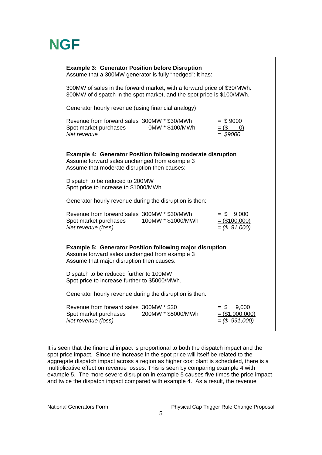| <b>Example 3: Generator Position before Disruption</b><br>Assume that a 300MW generator is fully "hedged": it has:                                                  |                    |                                                         |  |  |
|---------------------------------------------------------------------------------------------------------------------------------------------------------------------|--------------------|---------------------------------------------------------|--|--|
| 300MW of sales in the forward market, with a forward price of \$30/MWh.<br>300MW of dispatch in the spot market, and the spot price is \$100/MWh.                   |                    |                                                         |  |  |
| Generator hourly revenue (using financial analogy)                                                                                                                  |                    |                                                         |  |  |
| Revenue from forward sales 300MW * \$30/MWh<br>Spot market purchases<br>Net revenue                                                                                 | 0MW * \$100/MWh    | $=$ \$9000<br>$= (\$ 0)$<br>$= $9000$                   |  |  |
| <b>Example 4: Generator Position following moderate disruption</b><br>Assume forward sales unchanged from example 3<br>Assume that moderate disruption then causes: |                    |                                                         |  |  |
| Dispatch to be reduced to 200MW<br>Spot price to increase to \$1000/MWh.                                                                                            |                    |                                                         |  |  |
| Generator hourly revenue during the disruption is then:                                                                                                             |                    |                                                         |  |  |
| Revenue from forward sales 300MW * \$30/MWh<br>Spot market purchases<br>Net revenue (loss)                                                                          | 100MW * \$1000/MWh | $= $ 9,000$<br>$=$ (\$100,000)<br>$=(\$ 91,000)$        |  |  |
| <b>Example 5: Generator Position following major disruption</b><br>Assume forward sales unchanged from example 3<br>Assume that major disruption then causes:       |                    |                                                         |  |  |
| Dispatch to be reduced further to 100MW<br>Spot price to increase further to \$5000/MWh.                                                                            |                    |                                                         |  |  |
| Generator hourly revenue during the disruption is then:                                                                                                             |                    |                                                         |  |  |
| Revenue from forward sales 300MW * \$30<br>Spot market purchases<br>Net revenue (loss)                                                                              | 200MW * \$5000/MWh | $=$ \$<br>9,000<br>$=$ (\$1,000,000)<br>$=(\$ 991,000)$ |  |  |

It is seen that the financial impact is proportional to both the dispatch impact and the spot price impact. Since the increase in the spot price will itself be related to the aggregate dispatch impact across a region as higher cost plant is scheduled, there is a multiplicative effect on revenue losses. This is seen by comparing example 4 with example 5. The more severe disruption in example 5 causes five times the price impact and twice the dispatch impact compared with example 4. As a result, the revenue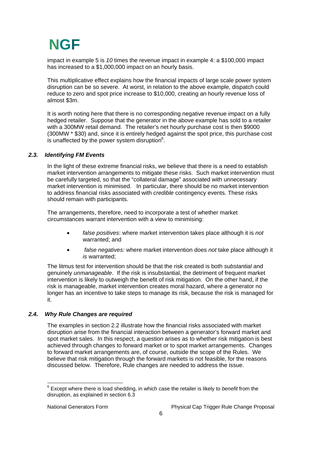impact in example 5 is *10* times the revenue impact in example 4: a \$100,000 impact has increased to a \$1,000,000 impact on an hourly basis.

This multiplicative effect explains how the financial impacts of large scale power system disruption can be so severe. At worst, in relation to the above example, dispatch could reduce to zero and spot price increase to \$10,000, creating an hourly revenue loss of almost \$3m.

It is worth noting here that there is no corresponding negative revenue impact on a fully hedged retailer. Suppose that the generator in the above example has sold to a retailer with a 300MW retail demand. The retailer's net hourly purchase cost is then \$9000 (300MW \* \$30) and, since it is entirely hedged against the spot price, this purchase cost is unaffected by the power system disruption $6$ .

#### *2.3. Identifying FM Events*

In the light of these extreme financial risks, we believe that there is a need to establish market intervention arrangements to mitigate these risks. Such market intervention must be carefully targeted, so that the "collateral damage" associated with unnecessary market intervention is minimised. In particular, there should be no market intervention to address financial risks associated with *credible* contingency events. These risks should remain with participants.

The arrangements, therefore, need to incorporate a test of whether market circumstances warrant intervention with a view to minimising:

- *false positives*: where market intervention takes place although it is *not* warranted; and
- *false negatives:* where market intervention does *not* take place although it *is* warranted;

The litmus test for intervention should be that the risk created is both *substantial* and genuinely *unmanageable*. If the risk is insubstantial, the detriment of frequent market intervention is likely to outweigh the benefit of risk mitigation. On the other hand, if the risk is manageable, market intervention creates moral hazard, where a generator no longer has an incentive to take steps to manage its risk, because the risk is managed for it.

### *2.4. Why Rule Changes are required*

The examples in section 2.2 illustrate how the financial risks associated with market disruption arise from the financial interaction between a generator's forward market and spot market sales. In this respect, a question arises as to whether risk mitigation is best achieved through changes to forward market or to spot market arrangements. Changes to forward market arrangements are, of course, outside the scope of the Rules. We believe that risk mitigation through the forward markets is not feasible, for the reasons discussed below. Therefore, Rule changes are needed to address the issue.

 6 Except where there is load shedding, in which case the retailer is likely to *benefit* from the disruption, as explained in section 6.3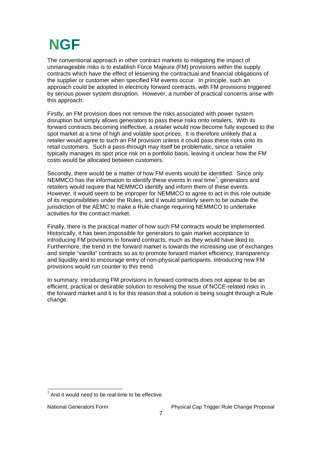The conventional approach in other contract markets to mitigating the impact of unmanageable risks is to establish Force Majeure (FM) provisions within the supply contracts which have the effect of lessening the contractual and financial obligations of the supplier or customer when specified FM events occur. In principle, such an approach could be adopted in electricity forward contracts, with FM provisions triggered by serious power system disruption. However, a number of practical concerns arise with this approach.

Firstly, an FM provision does not remove the risks associated with power system disruption but simply allows generators to pass these risks onto retailers. With its forward contracts becoming ineffective, a retailer would now become fully exposed to the spot market at a time of high and volatile spot prices. It is therefore unlikely that a retailer would agree to such an FM provision unless it could pass these risks onto its retail customers. Such a pass-through may itself be problematic, since a retailer typically manages its spot price risk on a portfolio basis, leaving it unclear how the FM costs would be allocated between customers.

Secondly, there would be a matter of how FM events would be identified. Since only NEMMCO has the information to identify these events in real time<sup>7</sup>, generators and retailers would require that NEMMCO identify and inform them of these events. However, it would seem to be improper for NEMMCO to agree to act in this role outside of its responsibilities under the Rules, and it would similarly seem to be outside the jurisdiction of the AEMC to make a Rule change requiring NEMMCO to undertake activities for the contract market.

Finally, there is the practical matter of how such FM contracts would be implemented. Historically, it has been impossible for generators to gain market acceptance to introducing FM provisions in forward contracts, much as they would have liked to. Furthermore, the trend in the forward market is towards the increasing use of exchanges and simple "vanilla" contracts so as to promote forward market efficiency, transparency and liquidity and to encourage entry of non-physical participants. Introducing new FM provisions would run counter to this trend.

In summary, introducing FM provisions in forward contracts does not appear to be an efficient, practical or desirable solution to resolving the issue of NCCE-related risks in the forward market and it is for this reason that a solution is being sought through a Rule change.

T<br>And it would need to be real-time to be effective.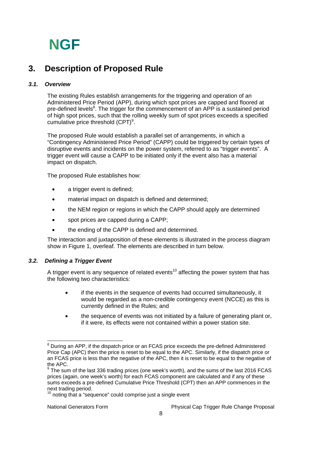### **3. Description of Proposed Rule**

### *3.1. Overview*

The existing Rules establish arrangements for the triggering and operation of an Administered Price Period (APP), during which spot prices are capped and floored at pre-defined levels<sup>8</sup>. The trigger for the commencement of an APP is a sustained period of high spot prices, such that the rolling weekly sum of spot prices exceeds a specified cumulative price threshold  $(CPT)^9$ .

The proposed Rule would establish a parallel set of arrangements, in which a "Contingency Administered Price Period" (CAPP) could be triggered by certain types of disruptive events and incidents on the power system, referred to as "trigger events". A trigger event will cause a CAPP to be initiated only if the event also has a material impact on dispatch.

The proposed Rule establishes how:

- a trigger event is defined;
- material impact on dispatch is defined and determined;
- the NEM region or regions in which the CAPP should apply are determined
- spot prices are capped during a CAPP:
- the ending of the CAPP is defined and determined.

The interaction and juxtaposition of these elements is illustrated in the process diagram show in Figure 1, overleaf. The elements are described in turn below.

### *3.2. Defining a Trigger Event*

A trigger event is any sequence of related events<sup>10</sup> affecting the power system that has the following two characteristics:

- if the events in the sequence of events had occurred simultaneously, it would be regarded as a non-credible contingency event (NCCE) as this is currently defined in the Rules; and
- the sequence of events was not initiated by a failure of generating plant or, if it were, its effects were not contained within a power station site.

ENDED THE DETAINMENT CONTROLLET THE SURFER THE SURFER THE SURFER THE SURFER THE SURFER SURFER SURFER THE SURF<br>The display an APP, if the dispatch price or an FCAS price exceeds the pre-defined Administered Price Cap (APC) then the price is reset to be equal to the APC. Similarly, if the dispatch price or an FCAS price is less than the negative of the APC, then it is reset to be equal to the negative of the APC.

 $9$  The sum of the last 336 trading prices (one week's worth), and the sums of the last 2016 FCAS prices (again, one week's worth) for each FCAS component are calculated and if any of these sums exceeds a pre-defined Cumulative Price Threshold (CPT) then an APP commences in the next trading period.

 $10$  noting that a "sequence" could comprise just a single event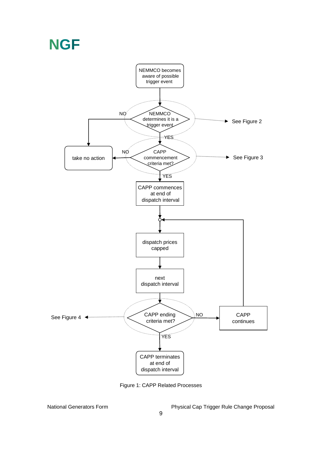

Figure 1: CAPP Related Processes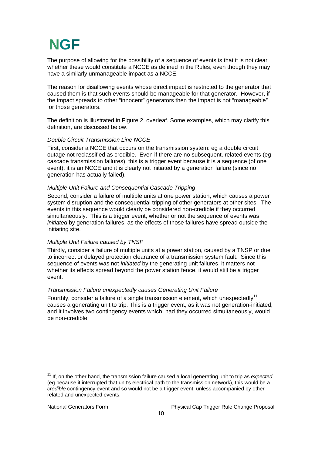The purpose of allowing for the possibility of a sequence of events is that it is not clear whether these would constitute a NCCE as defined in the Rules, even though they may have a similarly unmanageable impact as a NCCE.

The reason for disallowing events whose direct impact is restricted to the generator that caused them is that such events should be manageable for that generator. However, if the impact spreads to other "innocent" generators then the impact is not "manageable" for those generators.

The definition is illustrated in Figure 2, overleaf. Some examples, which may clarify this definition, are discussed below.

#### *Double Circuit Transmission Line NCCE*

First, consider a NCCE that occurs on the transmission system: eg a double circuit outage not reclassified as credible. Even if there are no subsequent, related events (eg cascade transmission failures), this is a trigger event because it is a sequence (of one event), it is an NCCE and it is clearly not initiated by a generation failure (since no generation has actually failed).

#### *Multiple Unit Failure and Consequential Cascade Tripping*

Second, consider a failure of multiple units at one power station, which causes a power system disruption and the consequential tripping of other generators at other sites. The events in this sequence would clearly be considered non-credible if they occurred simultaneously. This is a trigger event, whether or not the sequence of events was *initiated* by generation failures, as the effects of those failures have spread outside the initiating site.

#### *Multiple Unit Failure caused by TNSP*

Thirdly, consider a failure of multiple units at a power station, caused by a TNSP or due to incorrect or delayed protection clearance of a transmission system fault. Since this sequence of events was not *initiated* by the generating unit failures, it matters not whether its effects spread beyond the power station fence, it would still be a trigger event.

#### *Transmission Failure unexpectedly causes Generating Unit Failure*

Fourthly, consider a failure of a single transmission element, which unexpectedly<sup>11</sup> causes a generating unit to trip. This is a trigger event, as it was not generation-initiated, and it involves two contingency events which, had they occurred simultaneously, would be non-credible.

 $\overline{a}$ 

<sup>&</sup>lt;sup>11</sup> If, on the other hand, the transmission failure caused a local generating unit to trip as *expected* (eg because it interrupted that unit's electrical path to the transmission network), this would be a *credible* contingency event and so would not be a trigger event, unless accompanied by other related and unexpected events.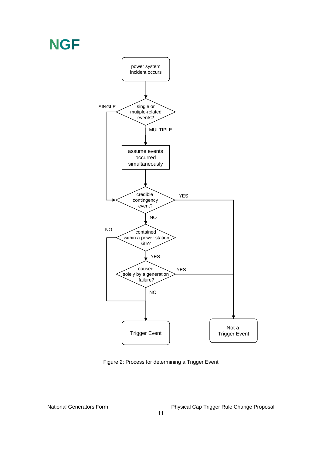

Figure 2: Process for determining a Trigger Event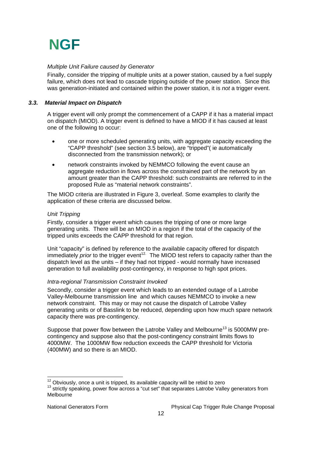#### *Multiple Unit Failure caused by Generator*

Finally, consider the tripping of multiple units at a power station, caused by a fuel supply failure, which does not lead to cascade tripping outside of the power station. Since this was generation-initiated and contained within the power station, it is *not* a trigger event.

#### *3.3. Material Impact on Dispatch*

A trigger event will only prompt the commencement of a CAPP if it has a material impact on dispatch (MIOD). A trigger event is defined to have a MIOD if it has caused at least one of the following to occur:

- one or more scheduled generating units, with aggregate capacity exceeding the "CAPP threshold" (see section 3.5 below), are "tripped"( ie automatically disconnected from the transmission network); or
- network constraints invoked by NEMMCO following the event cause an aggregate reduction in flows across the constrained part of the network by an amount greater than the CAPP threshold: such constraints are referred to in the proposed Rule as "material network constraints".

The MIOD criteria are illustrated in Figure 3, overleaf. Some examples to clarify the application of these criteria are discussed below.

#### *Unit Tripping*

Firstly, consider a trigger event which causes the tripping of one or more large generating units. There will be an MIOD in a region if the total of the capacity of the tripped units exceeds the CAPP threshold for that region.

Unit "capacity" is defined by reference to the available capacity offered for dispatch immediately *prior* to the trigger event<sup>12</sup>. The MIOD test refers to capacity rather than the dispatch level as the units – if they had not tripped - would normally have increased generation to full availability post-contingency, in response to high spot prices.

### *Intra-regional Transmission Constraint Invoked*

Secondly, consider a trigger event which leads to an extended outage of a Latrobe Valley-Melbourne transmission line and which causes NEMMCO to invoke a new network constraint. This may or may not cause the dispatch of Latrobe Valley generating units or of Basslink to be reduced, depending upon how much spare network capacity there was pre-contingency.

Suppose that power flow between the Latrobe Valley and Melbourne<sup>13</sup> is 5000MW precontingency and suppose also that the post-contingency constraint limits flows to 4000MW. The 1000MW flow reduction exceeds the CAPP threshold for Victoria (400MW) and so there is an MIOD.

<sup>&</sup>lt;sup>12</sup> Obviously, once a unit is tripped, its available capacity will be rebid to zero

<sup>13</sup> strictly speaking, power flow across a "cut set" that separates Latrobe Valley generators from Melbourne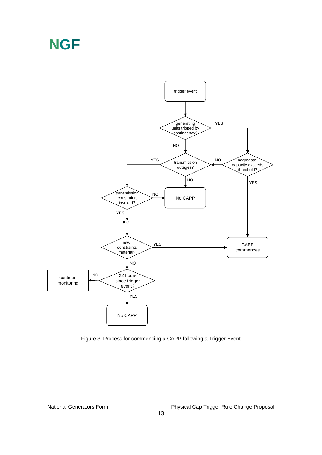

Figure 3: Process for commencing a CAPP following a Trigger Event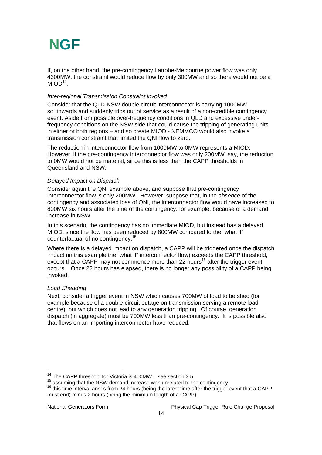If, on the other hand, the pre-contingency Latrobe-Melbourne power flow was only 4300MW, the constraint would reduce flow by only 300MW and so there would not be a  $MIOD<sup>14</sup>$ 

### *Inter-regional Transmission Constraint invoked*

Consider that the QLD-NSW double circuit interconnector is carrying 1000MW southwards and suddenly trips out of service as a result of a non-credible contingency event. Aside from possible over-frequency conditions in QLD and excessive underfrequency conditions on the NSW side that could cause the tripping of generating units in either or both regions – and so create MIOD - NEMMCO would also invoke a transmission constraint that limited the QNI flow to zero.

The reduction in interconnector flow from 1000MW to 0MW represents a MIOD. However, if the pre-contingency interconnector flow was only 200MW, say, the reduction to 0MW would not be material, since this is less than the CAPP thresholds in Queensland and NSW.

#### *Delayed Impact on Dispatch*

Consider again the QNI example above, and suppose that pre-contingency interconnector flow is only 200MW. However, suppose that, in the *absence* of the contingency and associated loss of QNI, the interconnector flow would have increased to 800MW six hours after the time of the contingency: for example, because of a demand increase in NSW.

In this scenario, the contingency has no immediate MIOD, but instead has a delayed MIOD, since the flow has been reduced by 800MW compared to the "what if" counterfactual of no contingency.<sup>15</sup>

Where there is a delayed impact on dispatch, a CAPP will be triggered once the dispatch impact (in this example the "what if" interconnector flow) exceeds the CAPP threshold, except that a CAPP may not commence more than 22 hours<sup>16</sup> after the trigger event occurs. Once 22 hours has elapsed, there is no longer any possibility of a CAPP being invoked.

#### *Load Shedding*

 $\overline{a}$ 

Next, consider a trigger event in NSW which causes 700MW of load to be shed (for example because of a double-circuit outage on transmission serving a remote load centre), but which does not lead to any generation tripping. Of course, generation dispatch (in aggregate) must be 700MW less than pre-contingency. It is possible also that flows on an importing interconnector have reduced.

 $14$  The CAPP threshold for Victoria is 400MW – see section 3.5

<sup>15</sup> assuming that the NSW demand increase was unrelated to the contingency<br><sup>16</sup> this time interval arises from 24 hours (being the latest time after the trigger event that a CAPP must end) minus 2 hours (being the minimum length of a CAPP).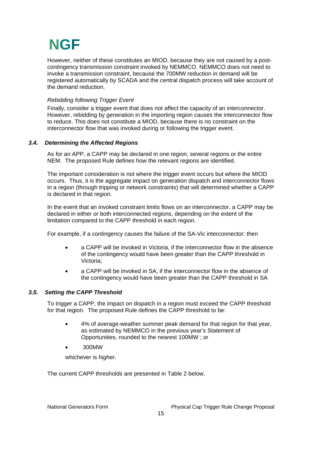However, neither of these constitutes an MIOD, because they are not caused by a postcontingency transmission constraint invoked by NEMMCO. NEMMCO does not need to invoke a transmission constraint, because the 700MW reduction in demand will be registered automatically by SCADA and the central dispatch process will take account of the demand reduction.

### *Rebidding following Trigger Event*

Finally, consider a trigger event that does not affect the capacity of an interconnector. However, rebidding by generation in the importing region causes the interconnector flow to reduce. This does not constitute a MIOD, because there is no constraint on the interconnector flow that was invoked during or following the trigger event.

#### *3.4. Determining the Affected Regions*

As for an APP, a CAPP may be declared in one region, several regions or the entire NEM. The proposed Rule defines how the relevant regions are identified.

The important consideration is not where the trigger event occurs but where the MIOD occurs. Thus, it is the aggregate impact on generation dispatch and interconnector flows in a region (through tripping or network constraints) that will determined whether a CAPP is declared in that region.

In the event that an invoked constraint limits flows on an interconnector, a CAPP may be declared in either or both interconnected regions, depending on the extent of the limitation compared to the CAPP threshold in each region.

For example, if a contingency causes the failure of the SA-Vic interconnector: then

- a CAPP will be invoked in Victoria, if the interconnector flow in the absence of the contingency would have been greater than the CAPP threshold in Victoria;
- a CAPP will be invoked in SA, if the interconnector flow in the absence of the contingency would have been greater than the CAPP threshold in SA

### *3.5. Setting the CAPP Threshold*

To trigger a CAPP, the impact on dispatch in a region must exceed the CAPP threshold for that region. The proposed Rule defines the CAPP threshold to be:

- 4% of average-weather summer peak demand for that region for that year, as estimated by NEMMCO in the previous year's Statement of Opportunities, rounded to the nearest 100MW ; or
- 300MW

whichever is *higher*.

The current CAPP thresholds are presented in Table 2 below.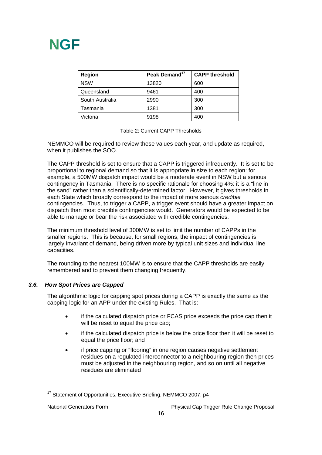| <b>Region</b>   | Peak Demand <sup>17</sup> | <b>CAPP threshold</b> |  |
|-----------------|---------------------------|-----------------------|--|
| <b>NSW</b>      | 13820                     | 600                   |  |
| Queensland      | 9461                      | 400                   |  |
| South Australia | 2990                      | 300                   |  |
| Tasmania        | 1381                      | 300                   |  |
| Victoria        | 9198                      | 400                   |  |

Table 2: Current CAPP Thresholds

NEMMCO will be required to review these values each year, and update as required, when it publishes the SOO.

The CAPP threshold is set to ensure that a CAPP is triggered infrequently. It is set to be proportional to regional demand so that it is appropriate in size to each region: for example, a 500MW dispatch impact would be a moderate event in NSW but a serious contingency in Tasmania. There is no specific rationale for choosing 4%: it is a "line in the sand" rather than a scientifically-determined factor. However, it gives thresholds in each State which broadly correspond to the impact of more serious *credible* contingencies. Thus, to trigger a CAPP, a trigger event should have a greater impact on dispatch than most credible contingencies would. Generators would be expected to be able to manage or bear the risk associated with credible contingencies.

The minimum threshold level of 300MW is set to limit the number of CAPPs in the smaller regions. This is because, for small regions, the impact of contingencies is largely invariant of demand, being driven more by typical unit sizes and individual line capacities.

The rounding to the nearest 100MW is to ensure that the CAPP thresholds are easily remembered and to prevent them changing frequently.

### *3.6. How Spot Prices are Capped*

The algorithmic logic for capping spot prices during a CAPP is exactly the same as the capping logic for an APP under the existing Rules. That is:

- if the calculated dispatch price or FCAS price exceeds the price cap then it will be reset to equal the price cap;
- if the calculated dispatch price is below the price floor then it will be reset to equal the price floor; and
- if price capping or "flooring" in one region causes negative settlement residues on a regulated interconnector to a neighbouring region then prices must be adjusted in the neighbouring region, and so on until all negative residues are eliminated

 $17$  Statement of Opportunities, Executive Briefing, NEMMCO 2007, p4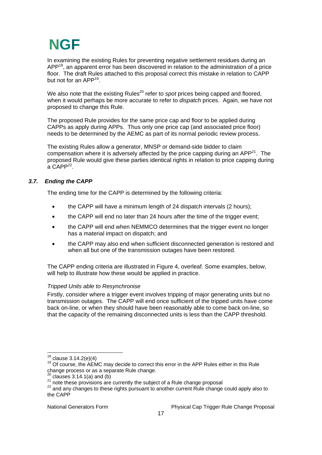In examining the existing Rules for preventing negative settlement residues during an  $APP<sup>18</sup>$ , an apparent error has been discovered in relation to the administration of a price floor. The draft Rules attached to this proposal correct this mistake in relation to CAPP but not for an APP<sup>19</sup>.

We also note that the existing Rules<sup>20</sup> refer to *spot* prices being capped and floored, when it would perhaps be more accurate to refer to *dispatch* prices. Again, we have not proposed to change this Rule.

The proposed Rule provides for the same price cap and floor to be applied during CAPPs as apply during APPs. Thus only one price cap (and associated price floor) needs to be determined by the AEMC as part of its normal periodic review process.

The existing Rules allow a generator, MNSP or demand-side bidder to claim compensation where it is adversely affected by the price capping during an  $APP^{21}$ . The proposed Rule would give these parties identical rights in relation to price capping during  $a$  CAPP<sup>22</sup>.

### *3.7. Ending the CAPP*

The ending time for the CAPP is determined by the following criteria:

- the CAPP will have a minimum length of 24 dispatch intervals (2 hours);
- the CAPP will end no later than 24 hours after the time of the trigger event;
- the CAPP will end when NEMMCO determines that the trigger event no longer has a material impact on dispatch; and
- the CAPP may also end when sufficient disconnected generation is restored and when all but one of the transmission outages have been restored.

The CAPP ending criteria are illustrated in Figure 4, overleaf. Some examples, below, will help to illustrate how these would be applied in practice.

### *Tripped Units able to Resynchronise*

Firstly, consider where a trigger event involves tripping of major generating units but no transmission outages. The CAPP will end once sufficient of the tripped units have come back on-line, or when they should have been reasonably able to come back on-line, so that the capacity of the remaining disconnected units is less than the CAPP threshold.

 $18$  clause 3.14.2(e)(4)

<sup>&</sup>lt;sup>19</sup> Of course, the AEMC may decide to correct this error in the APP Rules either in this Rule change process or as a separate Rule change.<br>
<sup>20</sup> clauses 3.14.1(a) and (b)

Clauses 3.14.1(a) and (b)<br>
<sup>21</sup> note these provisions are currently the subject of a Rule change proposal<br>
<sup>22</sup> and any changes to these rights pursuant to another current Rule change could apply also to the CAPP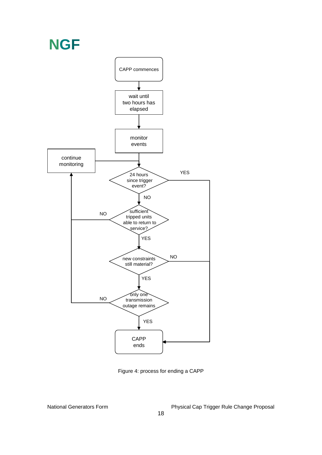

Figure 4: process for ending a CAPP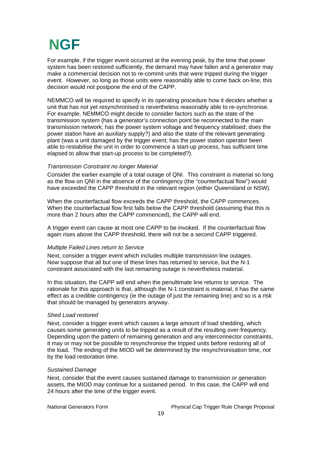For example, if the trigger event occurred at the evening peak, by the time that power system has been restored sufficiently, the demand may have fallen and a generator may make a commercial decision not to re-commit units that were tripped during the trigger event. However, so long as those units were reasonably able to come back on-line, this decision would not postpone the end of the CAPP.

NEMMCO will be required to specify in its operating procedure how it decides whether a unit that has not yet resynchronised is nevertheless reasonably able to re-synchronise. For example, NEMMCO might decide to consider factors such as the state of the transmission system (has a generator's connection point be reconnected to the main transmission network; has the power system voltage and frequency stabilised; does the power station have an auxiliary supply?) and also the state of the relevant generating plant (was a unit damaged by the trigger event; has the power station operator been able to restabilise the unit in order to commence a start-up process, has sufficient time elapsed to allow that start-up process to be completed?).

#### *Transmission Constraint no longer Material*

Consider the earlier example of a total outage of QNI. This constraint is material so long as the flow on QNI in the absence of the contingency (the "counterfactual flow") would have exceeded the CAPP threshold in the relevant region (either Queensland or NSW).

When the counterfactual flow exceeds the CAPP threshold, the CAPP commences. When the counterfactual flow first falls below the CAPP threshold (assuming that this is more than 2 hours after the CAPP commenced), the CAPP will end.

A trigger event can cause at most one CAPP to be invoked. If the counterfactual flow again rises above the CAPP threshold, there will not be a second CAPP triggered.

#### *Multiple Failed Lines return to Service*

Next, consider a trigger event which includes multiple transmission line outages. Now suppose that all but one of these lines has returned to service, but the N-1 constraint associated with the last remaining outage is nevertheless material.

In this situation, the CAPP will end when the penultimate line returns to service. The rationale for this approach is that, although the N-1 constraint is material, it has the same effect as a credible contingency (ie the outage of just the remaining line) and so is a risk that should be managed by generators anyway.

#### *Shed Load restored*

Next, consider a trigger event which causes a large amount of load shedding, which causes some generating units to be tripped as a result of the resulting over-frequency. Depending upon the pattern of remaining generation and any interconnector constraints, it may or may not be possible to resynchronise the tripped units before restoring all of the load. The ending of the MIOD will be determined by the resynchronisation time, *not* by the load restoration time.

#### *Sustained Damage*

Next, consider that the event causes sustained damage to transmission or generation assets, the MIOD may continue for a sustained period. In this case, the CAPP will end 24 hours after the time of the trigger event.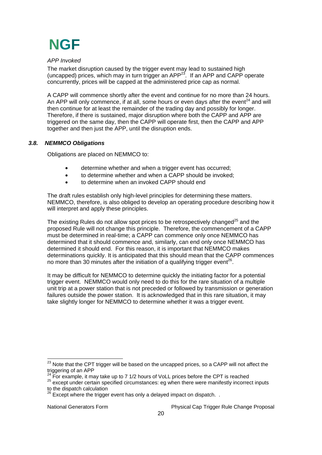

#### *APP Invoked*

The market disruption caused by the trigger event may lead to sustained high (uncapped) prices, which may in turn trigger an  $APP^{23}$ . If an APP and CAPP operate concurrently, prices will be capped at the administered price cap as normal.

A CAPP will commence shortly after the event and continue for no more than 24 hours. An APP will only commence, if at all, some hours or even days after the event<sup>24</sup> and will then continue for at least the remainder of the trading day and possibly for longer. Therefore, if there is sustained, major disruption where both the CAPP and APP are triggered on the same day, then the CAPP will operate first, then the CAPP and APP together and then just the APP, until the disruption ends.

#### *3.8. NEMMCO Obligations*

Obligations are placed on NEMMCO to:

- determine whether and when a trigger event has occurred;
- to determine whether and when a CAPP should be invoked;
- to determine when an invoked CAPP should end

The draft rules establish only high-level principles for determining these matters. NEMMCO, therefore, is also obliged to develop an operating procedure describing how it will interpret and apply these principles.

The existing Rules do not allow spot prices to be retrospectively changed<sup>25</sup> and the proposed Rule will not change this principle. Therefore, the commencement of a CAPP must be determined in real-time; a CAPP can commence only once NEMMCO has determined that it should commence and, similarly, can end only once NEMMCO has determined it should end. For this reason, it is important that NEMMCO makes determinations quickly. It is anticipated that this should mean that the CAPP commences no more than 30 minutes after the initiation of a qualifying trigger event<sup>26</sup>.

It may be difficult for NEMMCO to determine quickly the initiating factor for a potential trigger event. NEMMCO would only need to do this for the rare situation of a multiple unit trip at a power station that is not preceded or followed by transmission or generation failures outside the power station. It is acknowledged that in this rare situation, it may take slightly longer for NEMMCO to determine whether it was a trigger event.

  $^{23}$  Note that the CPT trigger will be based on the uncapped prices, so a CAPP will not affect the triggering of an APP<br><sup>24</sup> For example, it may take up to 7 1/2 hours of VoLL prices before the CPT is reached

<sup>&</sup>lt;sup>25</sup> except under certain specified circumstances: eg when there were manifestly incorrect inputs to the dispatch calculation<br><sup>26</sup> Fus

Except where the trigger event has only a delayed impact on dispatch. .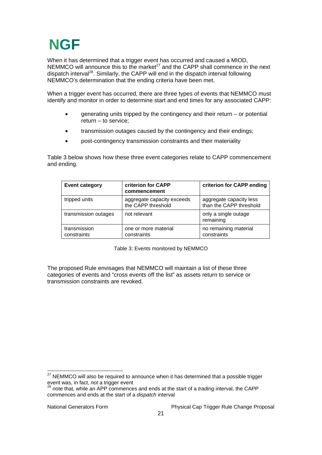When it has determined that a trigger event has occurred and caused a MIOD, NEMMCO will announce this to the market<sup>27</sup> and the CAPP shall commence in the next dispatch interval<sup>28</sup>. Similarly, the CAPP will end in the dispatch interval following NEMMCO's determination that the ending criteria have been met.

When a trigger event has occurred, there are three types of events that NEMMCO must identify and monitor in order to determine start and end times for any associated CAPP:

- generating units tripped by the contingency and their return or potential return – to service;
- transmission outages caused by the contingency and their endings;
- post-contingency transmission constraints and their materiality

Table 3 below shows how these three event categories relate to CAPP commencement and ending.

| <b>Event category</b>       | criterion for CAPP<br>commencement               | criterion for CAPP ending                          |
|-----------------------------|--------------------------------------------------|----------------------------------------------------|
| tripped units               | aggregate capacity exceeds<br>the CAPP threshold | aggregate capacity less<br>than the CAPP threshold |
| transmission outages        | not relevant                                     | only a single outage<br>remaining                  |
| transmission<br>constraints | one or more material<br>constraints              | no remaining material<br>constraints               |

Table 3: Events monitored by NEMMCO

The proposed Rule envisages that NEMMCO will maintain a list of these three categories of events and "cross events off the list" as assets return to service or transmission constraints are revoked.

 $\overline{a}$ 

 $27$  NEMMCO will also be required to announce when it has determined that a possible trigger event was, in fact, *not* a trigger event<br><sup>28</sup> note that, while an APP commences and ends at the start of a *trading* interval, the CAPP

commences and ends at the start of a *dispatch* interval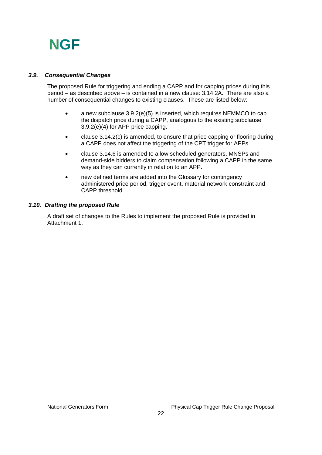### *3.9. Consequential Changes*

The proposed Rule for triggering and ending a CAPP and for capping prices during this period – as described above – is contained in a new clause: 3.14.2A. There are also a number of consequential changes to existing clauses. These are listed below:

- a new subclause 3.9.2(e)(5) is inserted, which requires NEMMCO to cap the dispatch price during a CAPP, analogous to the existing subclause 3.9.2(e)(4) for APP price capping.
- clause 3.14.2(c) is amended, to ensure that price capping or flooring during a CAPP does not affect the triggering of the CPT trigger for APPs.
- clause 3.14.6 is amended to allow scheduled generators, MNSPs and demand-side bidders to claim compensation following a CAPP in the same way as they can currently in relation to an APP.
- new defined terms are added into the Glossary for contingency administered price period, trigger event, material network constraint and CAPP threshold.

#### *3.10. Drafting the proposed Rule*

A draft set of changes to the Rules to implement the proposed Rule is provided in Attachment 1.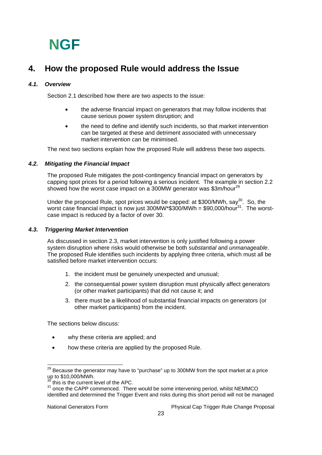### **4. How the proposed Rule would address the Issue**

### *4.1. Overview*

Section 2.1 described how there are two aspects to the issue:

- the adverse financial impact on generators that may follow incidents that cause serious power system disruption; and
- the need to define and identify such incidents, so that market intervention can be targeted at these and detriment associated with unnecessary market intervention can be minimised.

The next two sections explain how the proposed Rule will address these two aspects.

### *4.2. Mitigating the Financial Impact*

The proposed Rule mitigates the post-contingency financial impact on generators by capping spot prices for a period following a serious incident. The example in section 2.2 showed how the worst case impact on a 300MW generator was  $$3m/hour<sup>29</sup>$ 

Under the proposed Rule, spot prices would be capped: at \$300/MWh, say<sup>30</sup>. So, the worst case financial impact is now just  $300MW*$300/MWh = $90,000/hour<sup>31</sup>$ . The worstcase impact is reduced by a factor of over 30.

### *4.3. Triggering Market Intervention*

As discussed in section 2.3, market intervention is only justified following a power system disruption where risks would otherwise be both *substantial* and *unmanageable*. The proposed Rule identifies such incidents by applying three criteria, which must all be satisfied before market intervention occurs:

- 1. the incident must be genuinely unexpected and unusual;
- 2. the consequential power system disruption must physically affect generators (or other market participants) that did not cause it; and
- 3. there must be a likelihood of substantial financial impacts on generators (or other market participants) from the incident.

The sections below discuss:

- why these criteria are applied; and
- how these criteria are applied by the proposed Rule.

 $\overline{a}$  $^{29}$  Because the generator may have to "purchase" up to 300MW from the spot market at a price  $\mu$  to \$10,000/MWh.

this is the current level of the APC.

<sup>31</sup> once the CAPP commenced. There would be some intervening period, whilst NEMMCO identified and determined the Trigger Event and risks during this short period will not be managed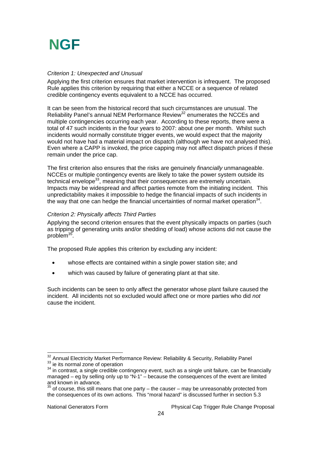#### *Criterion 1: Unexpected and Unusual*

Applying the first criterion ensures that market intervention is infrequent. The proposed Rule applies this criterion by requiring that either a NCCE or a sequence of related credible contingency events equivalent to a NCCE has occurred.

It can be seen from the historical record that such circumstances are unusual. The Reliability Panel's annual NEM Performance Review<sup>32</sup> enumerates the NCCEs and multiple contingencies occurring each year. According to these reports, there were a total of 47 such incidents in the four years to 2007: about one per month. Whilst such incidents would normally constitute trigger events, we would expect that the majority would not have had a material impact on dispatch (although we have not analysed this). Even where a CAPP is invoked, the price capping may not affect dispatch prices if these remain under the price cap.

The first criterion also ensures that the risks are genuinely *financially* unmanageable. NCCEs or multiple contingency events are likely to take the power system outside its technical envelope<sup>33</sup>, meaning that their consequences are extremely uncertain. Impacts may be widespread and affect parties remote from the initiating incident. This unpredictability makes it impossible to hedge the financial impacts of such incidents in the way that one can hedge the financial uncertainties of normal market operation $34$ .

#### *Criterion 2: Physically affects Third Parties*

Applying the second criterion ensures that the event physically impacts on parties (such as tripping of generating units and/or shedding of load) whose actions did not cause the problem<sup>35</sup>

The proposed Rule applies this criterion by excluding any incident:

- whose effects are contained within a single power station site; and
- which was caused by failure of generating plant at that site.

Such incidents can be seen to only affect the generator whose plant failure caused the incident. All incidents not so excluded would affect one or more parties who did *not* cause the incident.

<sup>&</sup>lt;sup>32</sup> Annual Electricity Market Performance Review: Reliability & Security, Reliability Panel 33 ie its normal zone of operation<br>34 in contrast, a single credible contingency event, such as a single unit failure, can be financially

managed – eg by selling only up to "N-1" – because the consequences of the event are limited and known in advance.

 $^5$  of course, this still means that one party – the causer – may be unreasonably protected from the consequences of its own actions. This "moral hazard" is discussed further in section 5.3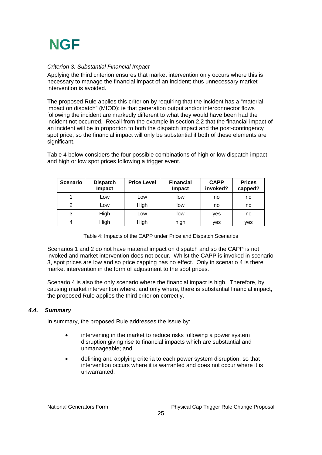#### *Criterion 3: Substantial Financial Impact*

Applying the third criterion ensures that market intervention only occurs where this is necessary to manage the financial impact of an incident; thus unnecessary market intervention is avoided.

The proposed Rule applies this criterion by requiring that the incident has a "material impact on dispatch" (MIOD): ie that generation output and/or interconnector flows following the incident are markedly different to what they would have been had the incident not occurred. Recall from the example in section 2.2 that the financial impact of an incident will be in proportion to both the dispatch impact and the post-contingency spot price, so the financial impact will only be substantial if both of these elements are significant.

Table 4 below considers the four possible combinations of high or low dispatch impact and high or low spot prices following a trigger event.

| <b>Scenario</b> | <b>Dispatch</b><br>Impact | <b>Price Level</b> | <b>Financial</b><br><b>Impact</b> | <b>CAPP</b><br>invoked? | <b>Prices</b><br>capped? |
|-----------------|---------------------------|--------------------|-----------------------------------|-------------------------|--------------------------|
|                 | Low                       | Low                | low                               | no                      | no                       |
| $\overline{2}$  | Low                       | High               | low                               | no                      | no                       |
| 3               | High                      | Low                | low                               | yes                     | no                       |
| 4               | High                      | High               | high                              | yes                     | yes                      |

Table 4: Impacts of the CAPP under Price and Dispatch Scenarios

Scenarios 1 and 2 do not have material impact on dispatch and so the CAPP is not invoked and market intervention does not occur. Whilst the CAPP is invoked in scenario 3, spot prices are low and so price capping has no effect. Only in scenario 4 is there market intervention in the form of adjustment to the spot prices.

Scenario 4 is also the only scenario where the financial impact is high. Therefore, by causing market intervention where, and only where, there is substantial financial impact, the proposed Rule applies the third criterion correctly.

### *4.4. Summary*

In summary, the proposed Rule addresses the issue by:

- intervening in the market to reduce risks following a power system disruption giving rise to financial impacts which are substantial and unmanageable; and
- defining and applying criteria to each power system disruption, so that intervention occurs where it is warranted and does not occur where it is unwarranted.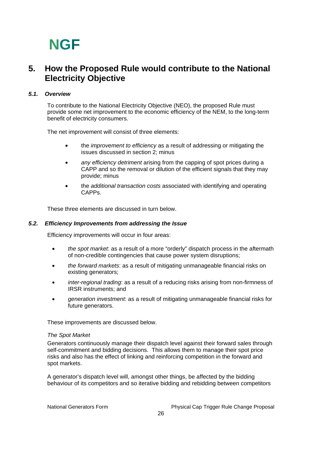### **5. How the Proposed Rule would contribute to the National Electricity Objective**

### *5.1. Overview*

To contribute to the National Electricity Objective (NEO), the proposed Rule must provide some net improvement to the economic efficiency of the NEM, to the long-term benefit of electricity consumers.

The net improvement will consist of three elements:

- the *improvement to efficiency* as a result of addressing or mitigating the issues discussed in section 2; minus
- *any efficiency detriment* arising from the capping of spot prices during a CAPP and so the removal or dilution of the efficient signals that they may provide; minus
- the *additional transaction costs* associated with identifying and operating CAPPs.

These three elements are discussed in turn below.

#### *5.2. Efficiency Improvements from addressing the Issue*

Efficiency improvements will occur in four areas:

- *the spot market*: as a result of a more "orderly" dispatch process in the aftermath of non-credible contingencies that cause power system disruptions;
- *the forward markets*: as a result of mitigating unmanageable financial risks on existing generators;
- *inter-regional trading*: as a result of a reducing risks arising from non-firmness of IRSR instruments; and
- *generation investment*: as a result of mitigating unmanageable financial risks for future generators.

These improvements are discussed below.

#### *The Spot Market*

Generators continuously manage their dispatch level against their forward sales through self-commitment and bidding decisions. This allows them to manage their spot price risks and also has the effect of linking and reinforcing competition in the forward and spot markets.

A generator's dispatch level will, amongst other things, be affected by the bidding behaviour of its competitors and so iterative bidding and rebidding between competitors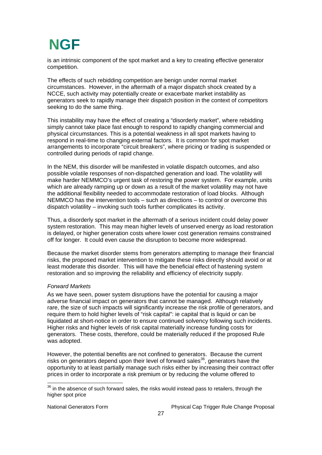is an intrinsic component of the spot market and a key to creating effective generator competition.

The effects of such rebidding competition are benign under normal market circumstances. However, in the aftermath of a major dispatch shock created by a NCCE, such activity may potentially create or exacerbate market instability as generators seek to rapidly manage their dispatch position in the context of competitors seeking to do the same thing.

This instability may have the effect of creating a "disorderly market", where rebidding simply cannot take place fast enough to respond to rapidly changing commercial and physical circumstances. This is a potential weakness in all spot markets having to respond in real-time to changing external factors. It is common for spot market arrangements to incorporate "circuit breakers", where pricing or trading is suspended or controlled during periods of rapid change.

In the NEM, this disorder will be manifested in volatile dispatch outcomes, and also possible volatile responses of non-dispatched generation and load. The volatility will make harder NEMMCO's urgent task of restoring the power system. For example, units which are already ramping up or down as a result of the market volatility may not have the additional flexibility needed to accommodate restoration of load blocks. Although NEMMCO has the intervention tools – such as directions – to control or overcome this dispatch volatility – invoking such tools further complicates its activity.

Thus, a disorderly spot market in the aftermath of a serious incident could delay power system restoration. This may mean higher levels of unserved energy as load restoration is delayed, or higher generation costs where lower cost generation remains constrained off for longer. It could even cause the disruption to become more widespread.

Because the market disorder stems from generators attempting to manage their financial risks, the proposed market intervention to mitigate these risks directly should avoid or at least moderate this disorder. This will have the beneficial effect of hastening system restoration and so improving the reliability and efficiency of electricity supply.

#### *Forward Markets*

As we have seen, power system disruptions have the potential for causing a major adverse financial impact on generators that cannot be managed. Although relatively rare, the size of such impacts will significantly increase the risk profile of generators, and require them to hold higher levels of "risk capital": ie capital that is liquid or can be liquidated at short-notice in order to ensure continued solvency following such incidents. Higher risks and higher levels of risk capital materially increase funding costs for generators. These costs, therefore, could be materially reduced if the proposed Rule was adopted.

However, the potential benefits are not confined to generators. Because the current risks on generators depend upon their level of forward sales $36$ , generators have the opportunity to at least partially manage such risks either by increasing their contract offer prices in order to incorporate a risk premium or by reducing the volume offered to

 $36$  in the absence of such forward sales, the risks would instead pass to retailers, through the higher spot price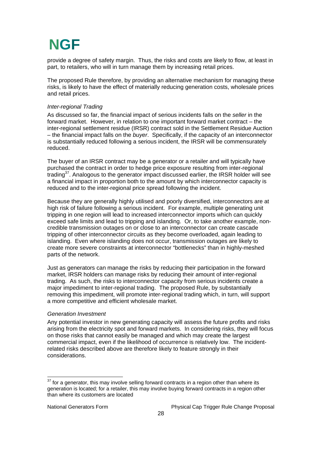provide a degree of safety margin. Thus, the risks and costs are likely to flow, at least in part, to retailers, who will in turn manage them by increasing retail prices.

The proposed Rule therefore, by providing an alternative mechanism for managing these risks, is likely to have the effect of materially reducing generation costs, wholesale prices and retail prices.

#### *Inter-regional Trading*

As discussed so far, the financial impact of serious incidents falls on the *seller* in the forward market. However, in relation to one important forward market contract – the inter-regional settlement residue (IRSR) contract sold in the Settlement Residue Auction – the financial impact falls on the *buyer*. Specifically, if the capacity of an interconnector is substantially reduced following a serious incident, the IRSR will be commensurately reduced.

The buyer of an IRSR contract may be a generator or a retailer and will typically have purchased the contract in order to hedge price exposure resulting from inter-regional trading<sup>37</sup>. Analogous to the generator impact discussed earlier, the IRSR holder will see a financial impact in proportion both to the amount by which interconnector capacity is reduced and to the inter-regional price spread following the incident.

Because they are generally highly utilised and poorly diversified, interconnectors are at high risk of failure following a serious incident. For example, multiple generating unit tripping in one region will lead to increased interconnector imports which can quickly exceed safe limits and lead to tripping and islanding. Or, to take another example, noncredible transmission outages on or close to an interconnector can create cascade tripping of other interconnector circuits as they become overloaded, again leading to islanding. Even where islanding does not occur, transmission outages are likely to create more severe constraints at interconnector "bottlenecks" than in highly-meshed parts of the network.

Just as generators can manage the risks by reducing their participation in the forward market, IRSR holders can manage risks by reducing their amount of inter-regional trading. As such, the risks to interconnector capacity from serious incidents create a major impediment to inter-regional trading. The proposed Rule, by substantially removing this impediment, will promote inter-regional trading which, in turn, will support a more competitive and efficient wholesale market.

#### *Generation Investment*

Any potential investor in new generating capacity will assess the future profits and risks arising from the electricity spot and forward markets. In considering risks, they will focus on those risks that cannot easily be managed and which may create the largest commercial impact, even if the likelihood of occurrence is relatively low. The incidentrelated risks described above are therefore likely to feature strongly in their considerations.

 $\overline{a}$ 

 $37$  for a generator, this may involve selling forward contracts in a region other than where its generation is located; for a retailer, this may involve buying forward contracts in a region other than where its customers are located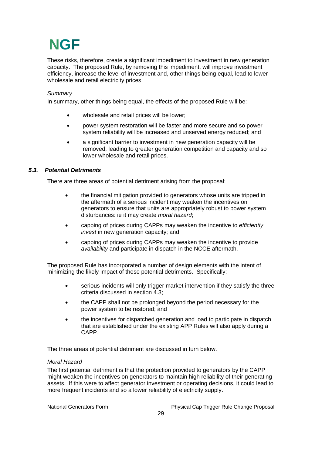These risks, therefore, create a significant impediment to investment in new generation capacity. The proposed Rule, by removing this impediment, will improve investment efficiency, increase the level of investment and, other things being equal, lead to lower wholesale and retail electricity prices.

### *Summary*

In summary, other things being equal, the effects of the proposed Rule will be:

- wholesale and retail prices will be lower;
- power system restoration will be faster and more secure and so power system reliability will be increased and unserved energy reduced; and
- a significant barrier to investment in new generation capacity will be removed, leading to greater generation competition and capacity and so lower wholesale and retail prices.

### *5.3. Potential Detriments*

There are three areas of potential detriment arising from the proposal:

- the financial mitigation provided to generators whose units are tripped in the aftermath of a serious incident may weaken the incentives on generators to ensure that units are appropriately robust to power system disturbances: ie it may create *moral hazard*;
- capping of prices during CAPPs may weaken the incentive to *efficiently invest* in new generation capacity; and
- capping of prices during CAPPs may weaken the incentive to provide *availability* and participate in dispatch in the NCCE aftermath.

The proposed Rule has incorporated a number of design elements with the intent of minimizing the likely impact of these potential detriments. Specifically:

- serious incidents will only trigger market intervention if they satisfy the three criteria discussed in section 4.3;
- the CAPP shall not be prolonged beyond the period necessary for the power system to be restored; and
- the incentives for dispatched generation and load to participate in dispatch that are established under the existing APP Rules will also apply during a CAPP.

The three areas of potential detriment are discussed in turn below.

#### *Moral Hazard*

The first potential detriment is that the protection provided to generators by the CAPP might weaken the incentives on generators to maintain high reliability of their generating assets. If this were to affect generator investment or operating decisions, it could lead to more frequent incidents and so a lower reliability of electricity supply.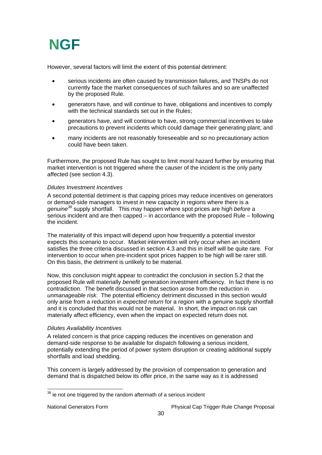

However, several factors will limit the extent of this potential detriment:

- serious incidents are often caused by transmission failures, and TNSPs do not currently face the market consequences of such failures and so are unaffected by the proposed Rule.
- generators have, and will continue to have, obligations and incentives to comply with the technical standards set out in the Rules:
- generators have, and will continue to have, strong commercial incentives to take precautions to prevent incidents which could damage their generating plant; and
- many incidents are not reasonably foreseeable and so no precautionary action could have been taken.

Furthermore, the proposed Rule has sought to limit moral hazard further by ensuring that market intervention is not triggered where the causer of the incident is the only party affected (see section 4.3).

#### *Dilutes Investment Incentives*

A second potential detriment is that capping prices may reduce incentives on generators or demand-side managers to invest in new capacity in regions where there is a *genuine38* supply shortfall. This may happen where spot prices are high *before* a serious incident and are then capped – in accordance with the proposed Rule – following the incident.

The materiality of this impact will depend upon how frequently a potential investor expects this scenario to occur. Market intervention will only occur when an incident satisfies the three criteria discussed in section 4.3 and this in itself will be quite rare. For intervention to occur when pre-incident spot prices happen to be high will be rarer still. On this basis, the detriment is unlikely to be material.

Now, this conclusion might appear to contradict the conclusion in section 5.2 that the proposed Rule will materially *benefit* generation investment efficiency. In fact there is no contradiction. The benefit discussed in that section arose from the reduction in *unmanageable risk*. The potential efficiency detriment discussed in this section would only arise from a reduction in *expected return* for a region with a genuine supply shortfall and it is concluded that this would not be material. In short, the impact on risk can materially affect efficiency, even when the impact on expected return does not.

#### *Dilutes Availability Incentives*

A related concern is that price capping reduces the incentives on generation and demand-side response to be available for dispatch following a serious incident, potentially extending the period of power system disruption or creating additional supply shortfalls and load shedding.

This concern is largely addressed by the provision of compensation to generation and demand that is dispatched below its offer price, in the same way as it is addressed

 $38$  ie not one triggered by the random aftermath of a serious incident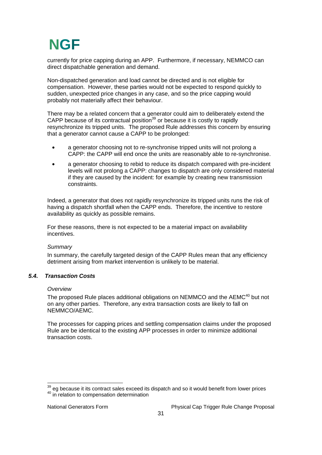currently for price capping during an APP. Furthermore, if necessary, NEMMCO can direct dispatchable generation and demand.

Non-dispatched generation and load cannot be directed and is not eligible for compensation. However, these parties would not be expected to respond quickly to sudden, unexpected price changes in any case, and so the price capping would probably not materially affect their behaviour.

There may be a related concern that a generator could aim to deliberately extend the CAPP because of its contractual position<sup>39</sup> or because it is costly to rapidly resynchronize its tripped units. The proposed Rule addresses this concern by ensuring that a generator cannot cause a CAPP to be prolonged:

- a generator choosing not to re-synchronise tripped units will not prolong a CAPP: the CAPP will end once the units are reasonably able to re-synchronise.
- a generator choosing to rebid to reduce its dispatch compared with pre-incident levels will not prolong a CAPP: changes to dispatch are only considered material if they are caused by the incident: for example by creating new transmission constraints.

Indeed, a generator that does not rapidly resynchronize its tripped units runs the risk of having a dispatch shortfall when the CAPP ends. Therefore, the incentive to restore availability as quickly as possible remains.

For these reasons, there is not expected to be a material impact on availability incentives.

#### *Summary*

In summary, the carefully targeted design of the CAPP Rules mean that any efficiency detriment arising from market intervention is unlikely to be material.

### *5.4. Transaction Costs*

#### *Overview*

The proposed Rule places additional obligations on NEMMCO and the AEMC<sup>40</sup> but not on any other parties. Therefore, any extra transaction costs are likely to fall on NEMMCO/AEMC.

The processes for capping prices and settling compensation claims under the proposed Rule are be identical to the existing APP processes in order to minimize additional transaction costs.

  $^{39}$  eg because it its contract sales exceed its dispatch and so it would benefit from lower prices<br><sup>40</sup> in relation to compensation determination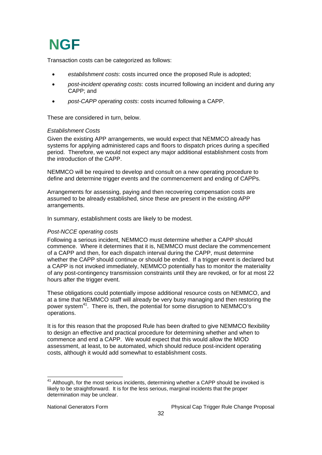Transaction costs can be categorized as follows:

- *establishment costs*: costs incurred once the proposed Rule is adopted;
- *post-incident operating costs*: costs incurred following an incident and during any CAPP; and
- *post-CAPP operating costs*: costs incurred following a CAPP.

These are considered in turn, below.

#### *Establishment Costs*

Given the existing APP arrangements, we would expect that NEMMCO already has systems for applying administered caps and floors to dispatch prices during a specified period. Therefore, we would not expect any major additional establishment costs from the introduction of the CAPP.

NEMMCO will be required to develop and consult on a new operating procedure to define and determine trigger events and the commencement and ending of CAPPs.

Arrangements for assessing, paying and then recovering compensation costs are assumed to be already established, since these are present in the existing APP arrangements.

In summary, establishment costs are likely to be modest.

#### *Post-NCCE operating costs*

Following a serious incident, NEMMCO must determine whether a CAPP should commence. Where it determines that it is, NEMMCO must declare the commencement of a CAPP and then, for each dispatch interval during the CAPP, must determine whether the CAPP should continue or should be ended. If a trigger event is declared but a CAPP is not invoked immediately, NEMMCO potentially has to monitor the materiality of any post-contingency transmission constraints until they are revoked, or for at most 22 hours after the trigger event.

These obligations could potentially impose additional resource costs on NEMMCO, and at a time that NEMMCO staff will already be very busy managing and then restoring the power system<sup>41</sup>. There is, then, the potential for some disruption to NEMMCO's operations.

It is for this reason that the proposed Rule has been drafted to give NEMMCO flexibility to design an effective and practical procedure for determining whether and when to commence and end a CAPP. We would expect that this would allow the MIOD assessment, at least, to be automated, which should reduce post-incident operating costs, although it would add somewhat to establishment costs.

 $\overline{a}$ 

 $41$  Although, for the most serious incidents, determining whether a CAPP should be invoked is likely to be straightforward. It is for the less serious, marginal incidents that the proper determination may be unclear.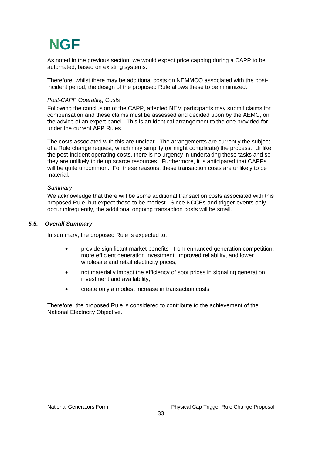As noted in the previous section, we would expect price capping during a CAPP to be automated, based on existing systems.

Therefore, whilst there may be additional costs on NEMMCO associated with the postincident period, the design of the proposed Rule allows these to be minimized.

#### *Post-CAPP Operating Costs*

Following the conclusion of the CAPP, affected NEM participants may submit claims for compensation and these claims must be assessed and decided upon by the AEMC, on the advice of an expert panel. This is an identical arrangement to the one provided for under the current APP Rules.

The costs associated with this are unclear. The arrangements are currently the subject of a Rule change request, which may simplify (or might complicate) the process. Unlike the post-incident operating costs, there is no urgency in undertaking these tasks and so they are unlikely to tie up scarce resources. Furthermore, it is anticipated that CAPPs will be quite uncommon. For these reasons, these transaction costs are unlikely to be material.

#### *Summary*

We acknowledge that there will be some additional transaction costs associated with this proposed Rule, but expect these to be modest. Since NCCEs and trigger events only occur infrequently, the additional ongoing transaction costs will be small.

#### *5.5. Overall Summary*

In summary, the proposed Rule is expected to:

- provide significant market benefits from enhanced generation competition, more efficient generation investment, improved reliability, and lower wholesale and retail electricity prices;
- not materially impact the efficiency of spot prices in signaling generation investment and availability;
- create only a modest increase in transaction costs

Therefore, the proposed Rule is considered to contribute to the achievement of the National Electricity Objective.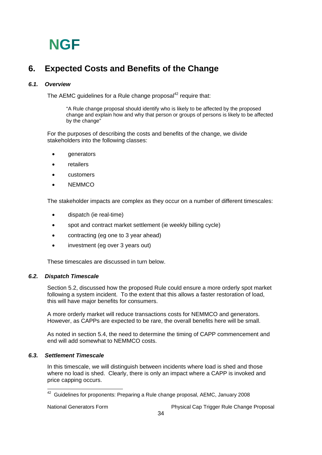## **6. Expected Costs and Benefits of the Change**

### *6.1. Overview*

The AEMC quidelines for a Rule change proposal $42$  require that:

"A Rule change proposal should identify who is likely to be affected by the proposed change and explain how and why that person or groups of persons is likely to be affected by the change"

For the purposes of describing the costs and benefits of the change, we divide stakeholders into the following classes:

- **generators**
- **retailers**
- customers
- NEMMCO

The stakeholder impacts are complex as they occur on a number of different timescales:

- dispatch (ie real-time)
- spot and contract market settlement (ie weekly billing cycle)
- contracting (eg one to 3 year ahead)
- investment (eg over 3 years out)

These timescales are discussed in turn below.

### *6.2. Dispatch Timescale*

Section 5.2, discussed how the proposed Rule could ensure a more orderly spot market following a system incident. To the extent that this allows a faster restoration of load, this will have major benefits for consumers.

A more orderly market will reduce transactions costs for NEMMCO and generators. However, as CAPPs are expected to be rare, the overall benefits here will be small.

As noted in section 5.4, the need to determine the timing of CAPP commencement and end will add somewhat to NEMMCO costs.

### *6.3. Settlement Timescale*

In this timescale, we will distinguish between incidents where load is shed and those where no load is shed. Clearly, there is only an impact where a CAPP is invoked and price capping occurs.

 $42$  Guidelines for proponents: Preparing a Rule change proposal, AEMC, January 2008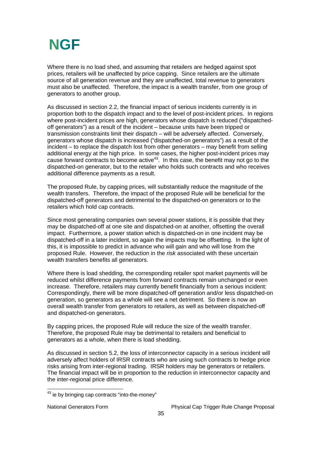Where there is no load shed, and assuming that retailers are hedged against spot prices, retailers will be unaffected by price capping. Since retailers are the ultimate source of all generation revenue and they are unaffected, total revenue to generators must also be unaffected. Therefore, the impact is a wealth transfer, from one group of generators to another group.

As discussed in section 2.2, the financial impact of serious incidents currently is in proportion both to the dispatch impact and to the level of post-incident prices. In regions where post-incident prices are high, generators whose dispatch is reduced ("dispatchedoff generators") as a result of the incident – because units have been tripped or transmission constraints limit their dispatch – will be adversely affected. Conversely, generators whose dispatch is increased ("dispatched-on generators") as a result of the incident – to replace the dispatch lost from other generators – may benefit from selling additional energy at the high price. In some cases, the higher post-incident prices may cause forward contracts to become active<sup>43</sup>. In this case, the benefit may not go to the dispatched-on generator, but to the retailer who holds such contracts and who receives additional difference payments as a result.

The proposed Rule, by capping prices, will substantially reduce the magnitude of the wealth transfers. Therefore, the impact of the proposed Rule will be beneficial for the dispatched-off generators and detrimental to the dispatched-on generators or to the retailers which hold cap contracts.

Since most generating companies own several power stations, it is possible that they may be dispatched-off at one site and dispatched-on at another, offsetting the overall impact. Furthermore, a power station which is dispatched-on in one incident may be dispatched-off in a later incident, so again the impacts may be offsetting. In the light of this, it is impossible to predict in advance who will gain and who will lose from the proposed Rule. However, the reduction in the *risk* associated with these uncertain wealth transfers benefits all generators.

Where there is load shedding, the corresponding retailer spot market payments will be reduced whilst difference payments from forward contracts remain unchanged or even increase. Therefore, retailers may currently benefit financially from a serious incident: Correspondingly, there will be more dispatched-off generation and/or less dispatched-on generation, so generators as a whole will see a net detriment. So there is now an overall wealth transfer from generators to retailers, as well as between dispatched-off and dispatched-on generators.

By capping prices, the proposed Rule will reduce the size of the wealth transfer. Therefore, the proposed Rule may be detrimental to retailers and beneficial to generators as a whole, when there is load shedding.

As discussed in section 5.2, the loss of interconnector capacity in a serious incident will adversely affect holders of IRSR contracts who are using such contracts to hedge price risks arising from inter-regional trading. IRSR holders may be generators or retailers. The financial impact will be in proportion to the reduction in interconnector capacity and the inter-regional price difference.

 $43$  ie by bringing cap contracts "into-the-money"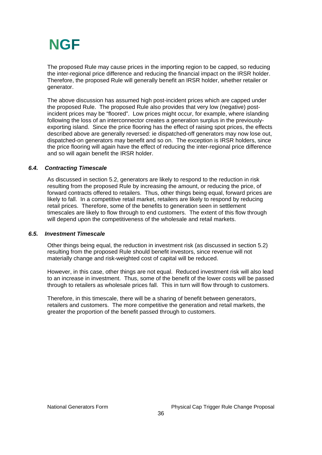

The proposed Rule may cause prices in the importing region to be capped, so reducing the inter-regional price difference and reducing the financial impact on the IRSR holder. Therefore, the proposed Rule will generally benefit an IRSR holder, whether retailer or generator.

The above discussion has assumed high post-incident prices which are capped under the proposed Rule. The proposed Rule also provides that very low (negative) postincident prices may be "floored". Low prices might occur, for example, where islanding following the loss of an interconnector creates a generation surplus in the previouslyexporting island. Since the price flooring has the effect of raising spot prices, the effects described above are generally reversed: ie dispatched-off generators may now lose out, dispatched-on generators may benefit and so on. The exception is IRSR holders, since the price flooring will again have the effect of reducing the inter-regional price difference and so will again benefit the IRSR holder.

#### *6.4. Contracting Timescale*

As discussed in section 5.2, generators are likely to respond to the reduction in risk resulting from the proposed Rule by increasing the amount, or reducing the price, of forward contracts offered to retailers. Thus, other things being equal, forward prices are likely to fall. In a competitive retail market, retailers are likely to respond by reducing retail prices. Therefore, some of the benefits to generation seen in settlement timescales are likely to flow through to end customers. The extent of this flow through will depend upon the competitiveness of the wholesale and retail markets.

#### *6.5. Investment Timescale*

Other things being equal, the reduction in investment risk (as discussed in section 5.2) resulting from the proposed Rule should benefit investors, since revenue will not materially change and risk-weighted cost of capital will be reduced.

However, in this case, other things are not equal. Reduced investment risk will also lead to an increase in investment. Thus, some of the benefit of the lower costs will be passed through to retailers as wholesale prices fall. This in turn will flow through to customers.

Therefore, in this timescale, there will be a sharing of benefit between generators, retailers and customers. The more competitive the generation and retail markets, the greater the proportion of the benefit passed through to customers.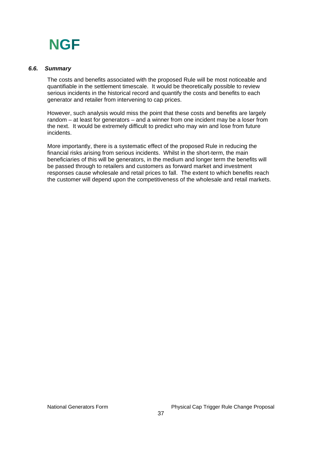

#### *6.6. Summary*

The costs and benefits associated with the proposed Rule will be most noticeable and quantifiable in the settlement timescale. It would be theoretically possible to review serious incidents in the historical record and quantify the costs and benefits to each generator and retailer from intervening to cap prices.

However, such analysis would miss the point that these costs and benefits are largely random – at least for generators – and a winner from one incident may be a loser from the next. It would be extremely difficult to predict who may win and lose from future incidents.

More importantly, there is a systematic effect of the proposed Rule in reducing the financial risks arising from serious incidents. Whilst in the short-term, the main beneficiaries of this will be generators, in the medium and longer term the benefits will be passed through to retailers and customers as forward market and investment responses cause wholesale and retail prices to fall. The extent to which benefits reach the customer will depend upon the competitiveness of the wholesale and retail markets.